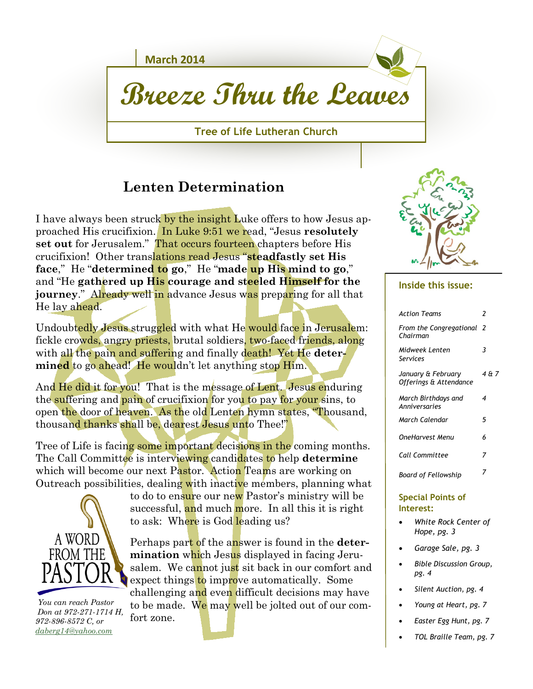

# **Breeze Thru the Leaves**

**Tree of Life Lutheran Church**

### **Lenten Determination**

I have always been struck by the insight Luke offers to how Jesus approached His crucifixion. In Luke 9:51 we read, "Jesus **resolutely set out** for Jerusalem." That occurs fourteen chapters before His crucifixion! Other translations read Jesus "**steadfastly set His face**," He "**determined to go**," He "**made up His mind to go**," and "He **gathered up His courage and steeled Himself for the journey.**" Already well in advance Jesus was preparing for all that He lay ahead.

Undoubtedly Jesus struggled with what He would face in Jerusalem: fickle crowds, angry priests, brutal soldiers, two-faced friends, along with all the pain and suffering and finally death! Yet He **determined** to go ahead! He wouldn't let anything stop Him.

And He did it for you! That is the message of Lent. Jesus enduring the suffering and pain of crucifixion for you to pay for your sins, to open the door of heaven. As the old Lenten hymn states, "Thousand, thousand thanks shall be, dearest Jesus unto Thee!"

Tree of Life is facing some important decisions in the coming months. The Call Committee is interviewing candidates to help **determine**  which will become our next Pastor. Action Teams are working on Outreach possibilities, dealing with inactive members, planning what



 *You can reach Pastor Don at 972-271-1714 H, 972-896-8572 C, or [daberg14@yahoo.com](mailto:daberg14@yahoo.com)*

to do to ensure our new Pastor's ministry will be successful, and much more. In all this it is right to ask: Where is God leading us?

Perhaps part of the answer is found in the **determination** which Jesus displayed in facing Jerusalem. We cannot just sit back in our comfort and expect things to improve automatically. Some challenging and even difficult decisions may have to be made. We may well be jolted out of our comfort zone.



#### **Inside this issue:**

| <b>Action Teams</b>                          | 2     |
|----------------------------------------------|-------|
| From the Congregational<br>Chairman          | - 2   |
| Midweek Lenten<br>Services                   | 3     |
| January & February<br>Offerings & Attendance | 4 & 7 |
| March Birthdays and<br>Anniversaries         | 4     |
| March Calendar                               | 5     |
| OneHarvest Menu                              | 6     |
| Call Committee                               | 7     |
| Board of Fellowship                          |       |

#### **Special Points of Interest:**

- *White Rock Center of Hope, pg. 3*
- *Garage Sale, pg. 3*
- *Bible Discussion Group, pg. 4*
- *Silent Auction, pg. 4*
- *Young at Heart, pg. 7*
- *Easter Egg Hunt, pg. 7*
- *TOL Braille Team, pg. 7*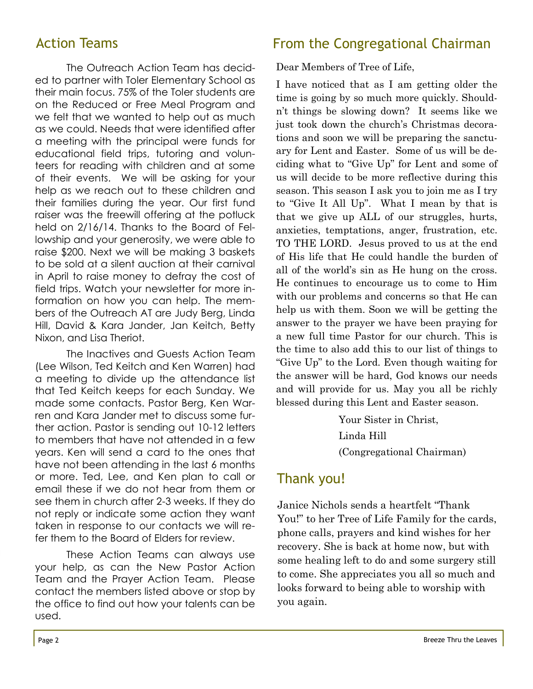The Outreach Action Team has decided to partner with Toler Elementary School as their main focus. 75% of the Toler students are on the Reduced or Free Meal Program and we felt that we wanted to help out as much as we could. Needs that were identified after a meeting with the principal were funds for educational field trips, tutoring and volunteers for reading with children and at some of their events. We will be asking for your help as we reach out to these children and their families during the year. Our first fund raiser was the freewill offering at the potluck held on 2/16/14. Thanks to the Board of Fellowship and your generosity, we were able to raise \$200. Next we will be making 3 baskets to be sold at a silent auction at their carnival in April to raise money to defray the cost of field trips. Watch your newsletter for more information on how you can help. The members of the Outreach AT are Judy Berg, Linda Hill, David & Kara Jander, Jan Keitch, Betty Nixon, and Lisa Theriot.

The Inactives and Guests Action Team (Lee Wilson, Ted Keitch and Ken Warren) had a meeting to divide up the attendance list that Ted Keitch keeps for each Sunday. We made some contacts. Pastor Berg, Ken Warren and Kara Jander met to discuss some further action. Pastor is sending out 10-12 letters to members that have not attended in a few years. Ken will send a card to the ones that have not been attending in the last 6 months or more. Ted, Lee, and Ken plan to call or email these if we do not hear from them or see them in church after 2-3 weeks. If they do not reply or indicate some action they want taken in response to our contacts we will refer them to the Board of Elders for review.

These Action Teams can always use your help, as can the New Pastor Action Team and the Prayer Action Team. Please contact the members listed above or stop by the office to find out how your talents can be used.

# Action Teams **From the Congregational Chairman**

Dear Members of Tree of Life,

I have noticed that as I am getting older the time is going by so much more quickly. Shouldn't things be slowing down? It seems like we just took down the church's Christmas decorations and soon we will be preparing the sanctuary for Lent and Easter. Some of us will be deciding what to "Give Up" for Lent and some of us will decide to be more reflective during this season. This season I ask you to join me as I try to "Give It All Up". What I mean by that is that we give up ALL of our struggles, hurts, anxieties, temptations, anger, frustration, etc. TO THE LORD. Jesus proved to us at the end of His life that He could handle the burden of all of the world's sin as He hung on the cross. He continues to encourage us to come to Him with our problems and concerns so that He can help us with them. Soon we will be getting the answer to the prayer we have been praying for a new full time Pastor for our church. This is the time to also add this to our list of things to "Give Up" to the Lord. Even though waiting for the answer will be hard, God knows our needs and will provide for us. May you all be richly blessed during this Lent and Easter season.

> Your Sister in Christ, Linda Hill (Congregational Chairman)

### Thank you!

Janice Nichols sends a heartfelt "Thank You!" to her Tree of Life Family for the cards, phone calls, prayers and kind wishes for her recovery. She is back at home now, but with some healing left to do and some surgery still to come. She appreciates you all so much and looks forward to being able to worship with you again.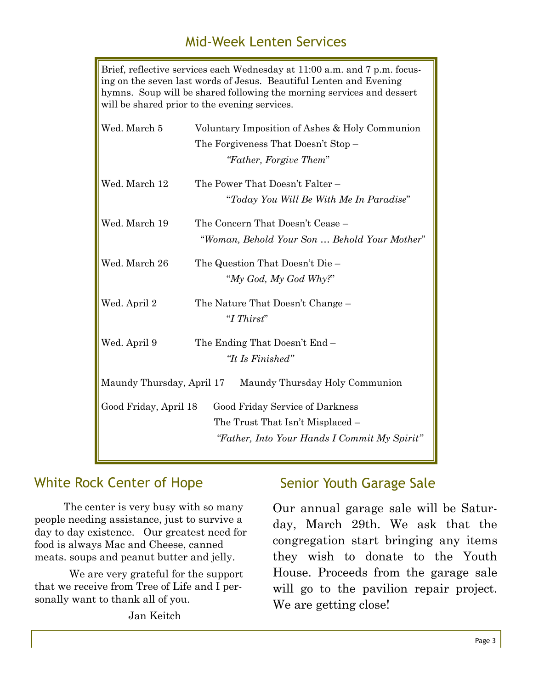# Mid-Week Lenten Services

Brief, reflective services each Wednesday at 11:00 a.m. and 7 p.m. focusing on the seven last words of Jesus. Beautiful Lenten and Evening hymns. Soup will be shared following the morning services and dessert will be shared prior to the evening services. Wed. March 5 Voluntary Imposition of Ashes & Holy Communion The Forgiveness That Doesn't Stop – *"Father, Forgive Them*"

| Wed. March 12             | The Power That Doesn't Falter -              |  |  |  |  |
|---------------------------|----------------------------------------------|--|--|--|--|
|                           | "Today You Will Be With Me In Paradise"      |  |  |  |  |
| Wed. March 19             | The Concern That Doesn't Cease -             |  |  |  |  |
|                           | "Woman, Behold Your Son  Behold Your Mother" |  |  |  |  |
| Wed. March 26             | The Question That Doesn't Die –              |  |  |  |  |
|                           | "My God, My God Why?"                        |  |  |  |  |
| Wed. April 2              | The Nature That Doesn't Change –             |  |  |  |  |
|                           | "I Thirst"                                   |  |  |  |  |
| Wed. April 9              | The Ending That Doesn't End -                |  |  |  |  |
|                           | "It Is Finished"                             |  |  |  |  |
| Maundy Thursday, April 17 | Maundy Thursday Holy Communion               |  |  |  |  |
| Good Friday, April 18     | Good Friday Service of Darkness              |  |  |  |  |
|                           | The Trust That Isn't Misplaced –             |  |  |  |  |
|                           | "Father, Into Your Hands I Commit My Spirit" |  |  |  |  |

### White Rock Center of Hope Senior Youth Garage Sale

 The center is very busy with so many people needing assistance, just to survive a day to day existence. Our greatest need for food is always Mac and Cheese, canned meats. soups and peanut butter and jelly.

 We are very grateful for the support that we receive from Tree of Life and I personally want to thank all of you.

Jan Keitch

Our annual garage sale will be Saturday, March 29th. We ask that the congregation start bringing any items they wish to donate to the Youth House. Proceeds from the garage sale will go to the pavilion repair project. We are getting close!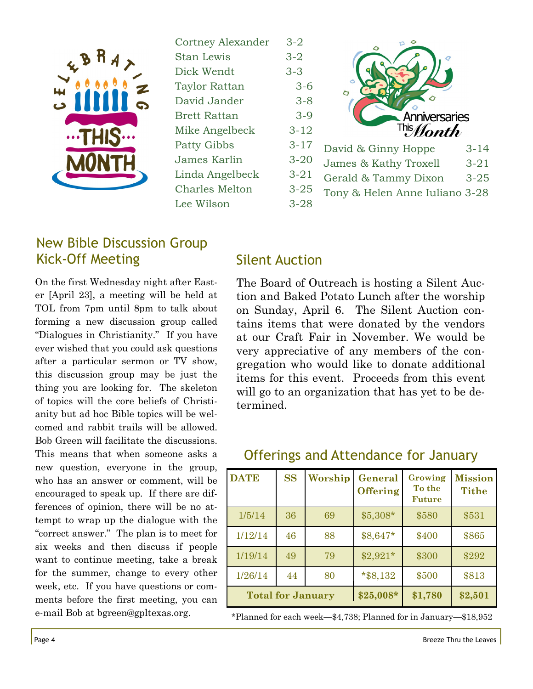

| Cortney Alexander     |
|-----------------------|
| <b>Stan Lewis</b>     |
| Dick Wendt            |
| <b>Taylor Rattan</b>  |
| David Jander          |
| <b>Brett Rattan</b>   |
| Mike Angelbeck        |
| <b>Patty Gibbs</b>    |
| James Karlin          |
| Linda Angelbeck       |
| <b>Charles Melton</b> |
| Lee Wilson            |



#### New Bible Discussion Group Kick-Off Meeting

On the first Wednesday night after Easter [April 23], a meeting will be held at TOL from 7pm until 8pm to talk about forming a new discussion group called "Dialogues in Christianity." If you have ever wished that you could ask questions after a particular sermon or TV show, this discussion group may be just the thing you are looking for. The skeleton of topics will the core beliefs of Christianity but ad hoc Bible topics will be welcomed and rabbit trails will be allowed. Bob Green will facilitate the discussions. This means that when someone asks a new question, everyone in the group, who has an answer or comment, will be encouraged to speak up. If there are differences of opinion, there will be no attempt to wrap up the dialogue with the "correct answer." The plan is to meet for six weeks and then discuss if people want to continue meeting, take a break for the summer, change to every other week, etc. If you have questions or comments before the first meeting, you can e-mail Bob at bgreen@gpltexas.org.

#### Silent Auction

The Board of Outreach is hosting a Silent Auction and Baked Potato Lunch after the worship on Sunday, April 6. The Silent Auction contains items that were donated by the vendors at our Craft Fair in November. We would be very appreciative of any members of the congregation who would like to donate additional items for this event. Proceeds from this event will go to an organization that has yet to be determined.

| <b>DATE</b>              | <b>SS</b> | Worship | General<br><b>Offering</b> | Growing<br>To the<br><b>Future</b> | <b>Mission</b><br><b>Tithe</b> |
|--------------------------|-----------|---------|----------------------------|------------------------------------|--------------------------------|
| 1/5/14                   | 36        | 69      | $$5,308*$                  | \$580                              | \$531                          |
| 1/12/14                  | 46        | 88      | \$8,647*                   | \$400                              | \$865                          |
| 1/19/14                  | 49        | 79      | $$2,921*$                  | \$300                              | \$292                          |
| 1/26/14                  | 44        | 80      | $*$ \$8,132                | \$500                              | \$813                          |
| <b>Total for January</b> |           |         | $$25,008*$                 | \$1,780                            | \$2,501                        |

#### Offerings and Attendance for January

\*Planned for each week—\$4,738; Planned for in January—\$18,952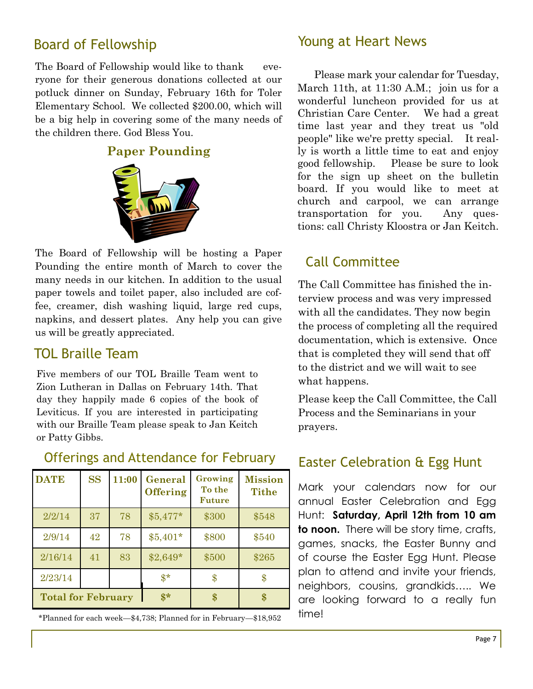### Board of Fellowship

The Board of Fellowship would like to thank everyone for their generous donations collected at our potluck dinner on Sunday, February 16th for Toler Elementary School. We collected \$200.00, which will be a big help in covering some of the many needs of the children there. God Bless You.

#### **Paper Pounding**



The Board of Fellowship will be hosting a Paper Pounding the entire month of March to cover the many needs in our kitchen. In addition to the usual paper towels and toilet paper, also included are coffee, creamer, dish washing liquid, large red cups, napkins, and dessert plates. Any help you can give us will be greatly appreciated.

#### TOL Braille Team

Five members of our TOL Braille Team went to Zion Lutheran in Dallas on February 14th. That day they happily made 6 copies of the book of Leviticus. If you are interested in participating with our Braille Team please speak to Jan Keitch or Patty Gibbs.

| <b>DATE</b>               | <b>SS</b> | 11:00 | General<br><b>Offering</b> | Growing<br>To the<br><b>Future</b> | <b>Mission</b><br><b>Tithe</b> |
|---------------------------|-----------|-------|----------------------------|------------------------------------|--------------------------------|
| 2/2/14                    | 37        | 78    | $$5,477*$                  | \$300                              | \$548                          |
| 2/9/14                    | 42        | 78    | $$5,401*$                  | \$800                              | \$540                          |
| 2/16/14                   | 41        | 83    | $$2,649*$                  | \$500                              | \$265                          |
| 2/23/14                   |           |       | $\mathbf{\$}^*$            | \$                                 | \$                             |
| <b>Total for February</b> |           | $$*$  | \$                         | \$                                 |                                |

Offerings and Attendance for February

\*Planned for each week—\$4,738; Planned for in February—\$18,952

#### Young at Heart News

 Please mark your calendar for Tuesday, March 11th, at 11:30 A.M.; join us for a wonderful luncheon provided for us at Christian Care Center. We had a great time last year and they treat us "old people" like we're pretty special. It really is worth a little time to eat and enjoy good fellowship. Please be sure to look for the sign up sheet on the bulletin board. If you would like to meet at church and carpool, we can arrange transportation for you. Any questions: call Christy Kloostra or Jan Keitch.

# Call Committee

The Call Committee has finished the interview process and was very impressed with all the candidates. They now begin the process of completing all the required documentation, which is extensive. Once that is completed they will send that off to the district and we will wait to see what happens.

Please keep the Call Committee, the Call Process and the Seminarians in your prayers.

### Easter Celebration & Egg Hunt

Mark your calendars now for our annual Easter Celebration and Egg Hunt: **Saturday, April 12th from 10 am to noon.** There will be story time, crafts, games, snacks, the Easter Bunny and of course the Easter Egg Hunt. Please plan to attend and invite your friends, neighbors, cousins, grandkids….. We are looking forward to a really fun time!